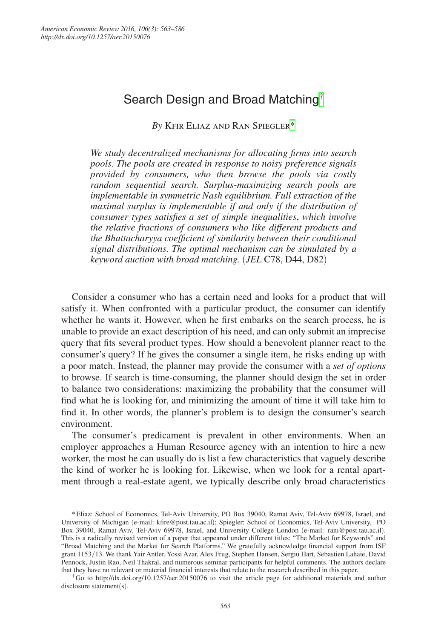# Search Design and Broad Matching[†](#page-0-0)

*By* Kfir Eliaz and Ran Spiegle[r\\*](#page-0-1)

*We study decentralized mechanisms for allocating firms into search pools. The pools are created in response to noisy preference signals provided by consumers, who then browse the pools via costly random sequential search. Surplus-maximizing search pools are implementable in symmetric Nash equilibrium. Full extraction of the maximal surplus is implementable if and only if the distribution of consumer types satisfies a set of simple inequalities*, *which involve the relative fractions of consumers who like different products and the Bhattacharyya coefficient of similarity between their conditional signal distributions. The optimal mechanism can be simulated by a keyword auction with broad matching.* (*JEL* C78, D44, D82)

Consider a consumer who has a certain need and looks for a product that will satisfy it. When confronted with a particular product, the consumer can identify whether he wants it. However, when he first embarks on the search process, he is unable to provide an exact description of his need, and can only submit an imprecise query that fits several product types. How should a benevolent planner react to the consumer's query? If he gives the consumer a single item, he risks ending up with a poor match. Instead, the planner may provide the consumer with a *set of options* to browse. If search is time-consuming, the planner should design the set in order to balance two considerations: maximizing the probability that the consumer will find what he is looking for, and minimizing the amount of time it will take him to find it. In other words, the planner's problem is to design the consumer's search environment.

The consumer's predicament is prevalent in other environments. When an employer approaches a Human Resource agency with an intention to hire a new worker, the most he can usually do is list a few characteristics that vaguely describe the kind of worker he is looking for. Likewise, when we look for a rental apartment through a real-estate agent, we typically describe only broad characteristics

<span id="page-0-0"></span>†Go to http://dx.doi.org/10.1257/aer.20150076 to visit the article page for additional materials and author disclosure statement(s).

<span id="page-0-1"></span><sup>\*</sup>Eliaz: School of Economics, Tel-Aviv University, PO Box 39040, Ramat Aviv, Tel-Aviv 69978, Israel, and University of Michigan (e-mail: kfire@post.tau.ac.il); Spiegler: School of Economics, Tel-Aviv University, PO Box 39040, Ramat Aviv, Tel-Aviv 69978, Israel, and University College London (e-mail: rani@post.tau.ac.il). This is a radically revised version of a paper that appeared under different titles: "The Market for Keywords" and "Broad Matching and the Market for Search Platforms." We gratefully acknowledge financial support from ISF grant 1153/13. We thank Yair Antler, Yossi Azar, Alex Frug, Stephen Hansen, Sergiu Hart, Sebastien Lahaie, David Pennock, Justin Rao, Neil Thakral, and numerous seminar participants for helpful comments. The authors declare that they have no relevant or material financial interests that relate to the research described in this paper.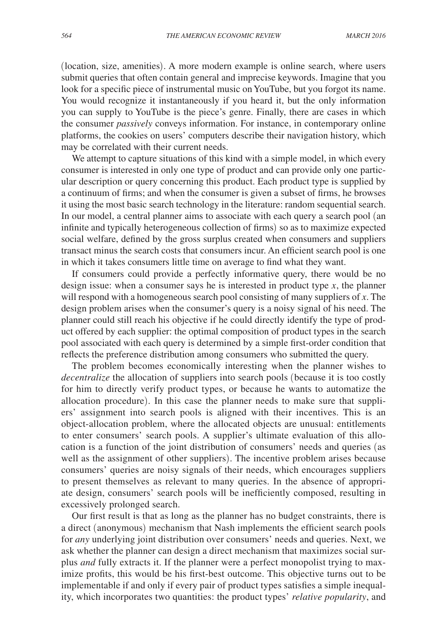(location, size, amenities). A more modern example is online search, where users submit queries that often contain general and imprecise keywords. Imagine that you look for a specific piece of instrumental music on YouTube, but you forgot its name. You would recognize it instantaneously if you heard it, but the only information you can supply to YouTube is the piece's genre. Finally, there are cases in which the consumer *passively* conveys information. For instance, in contemporary online platforms, the cookies on users' computers describe their navigation history, which may be correlated with their current needs.

We attempt to capture situations of this kind with a simple model, in which every consumer is interested in only one type of product and can provide only one particular description or query concerning this product. Each product type is supplied by a continuum of firms; and when the consumer is given a subset of firms, he browses it using the most basic search technology in the literature: random sequential search. In our model, a central planner aims to associate with each query a search pool (an infinite and typically heterogeneous collection of firms) so as to maximize expected social welfare, defined by the gross surplus created when consumers and suppliers transact minus the search costs that consumers incur. An efficient search pool is one in which it takes consumers little time on average to find what they want.

If consumers could provide a perfectly informative query, there would be no design issue: when a consumer says he is interested in product type *x*, the planner will respond with a homogeneous search pool consisting of many suppliers of *x*. The design problem arises when the consumer's query is a noisy signal of his need. The planner could still reach his objective if he could directly identify the type of product offered by each supplier: the optimal composition of product types in the search pool associated with each query is determined by a simple first-order condition that reflects the preference distribution among consumers who submitted the query.

The problem becomes economically interesting when the planner wishes to *decentralize* the allocation of suppliers into search pools (because it is too costly for him to directly verify product types, or because he wants to automatize the allocation procedure). In this case the planner needs to make sure that suppliers' assignment into search pools is aligned with their incentives. This is an object-allocation problem, where the allocated objects are unusual: entitlements to enter consumers' search pools. A supplier's ultimate evaluation of this allocation is a function of the joint distribution of consumers' needs and queries (as well as the assignment of other suppliers). The incentive problem arises because consumers' queries are noisy signals of their needs, which encourages suppliers to present themselves as relevant to many queries. In the absence of appropriate design, consumers' search pools will be inefficiently composed, resulting in excessively prolonged search.

Our first result is that as long as the planner has no budget constraints, there is a direct (anonymous) mechanism that Nash implements the efficient search pools for *any* underlying joint distribution over consumers' needs and queries. Next, we ask whether the planner can design a direct mechanism that maximizes social surplus *and* fully extracts it. If the planner were a perfect monopolist trying to maximize profits, this would be his first-best outcome. This objective turns out to be implementable if and only if every pair of product types satisfies a simple inequality, which incorporates two quantities: the product types' *relative popularity*, and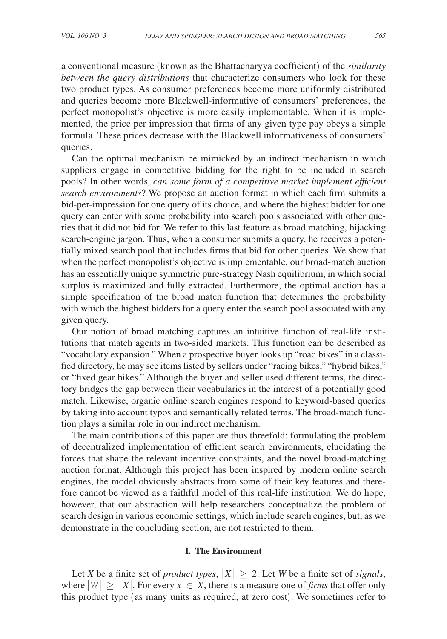a conventional measure (known as the Bhattacharyya coefficient) of the *similarity between the query distributions* that characterize consumers who look for these two product types. As consumer preferences become more uniformly distributed and queries become more Blackwell-informative of consumers' preferences, the perfect monopolist's objective is more easily implementable. When it is implemented, the price per impression that firms of any given type pay obeys a simple formula. These prices decrease with the Blackwell informativeness of consumers' queries.

Can the optimal mechanism be mimicked by an indirect mechanism in which suppliers engage in competitive bidding for the right to be included in search pools? In other words, *can some form of a competitive market implement efficient search environments*? We propose an auction format in which each firm submits a bid-per-impression for one query of its choice, and where the highest bidder for one query can enter with some probability into search pools associated with other queries that it did not bid for. We refer to this last feature as broad matching, hijacking search-engine jargon. Thus, when a consumer submits a query, he receives a potentially mixed search pool that includes firms that bid for other queries. We show that when the perfect monopolist's objective is implementable, our broad-match auction has an essentially unique symmetric pure-strategy Nash equilibrium, in which social surplus is maximized and fully extracted. Furthermore, the optimal auction has a simple specification of the broad match function that determines the probability with which the highest bidders for a query enter the search pool associated with any given query.

Our notion of broad matching captures an intuitive function of real-life institutions that match agents in two-sided markets. This function can be described as "vocabulary expansion." When a prospective buyer looks up "road bikes" in a classified directory, he may see items listed by sellers under "racing bikes," "hybrid bikes," or "fixed gear bikes." Although the buyer and seller used different terms, the directory bridges the gap between their vocabularies in the interest of a potentially good match. Likewise, organic online search engines respond to keyword-based queries by taking into account typos and semantically related terms. The broad-match function plays a similar role in our indirect mechanism.

The main contributions of this paper are thus threefold: formulating the problem of decentralized implementation of efficient search environments, elucidating the forces that shape the relevant incentive constraints, and the novel broad-matching auction format. Although this project has been inspired by modern online search engines, the model obviously abstracts from some of their key features and therefore cannot be viewed as a faithful model of this real-life institution. We do hope, however, that our abstraction will help researchers conceptualize the problem of search design in various economic settings, which include search engines, but, as we demonstrate in the concluding section, are not restricted to them.

#### **I. The Environment**

Let *X* be a finite set of *product types*,  $|X| \ge 2$ . Let *W* be a finite set of *signals*, where  $|W| \geq |X|$ . For every  $x \in X$ , there is a measure one of *firms* that offer only this product type (as many units as required, at zero cost). We sometimes refer to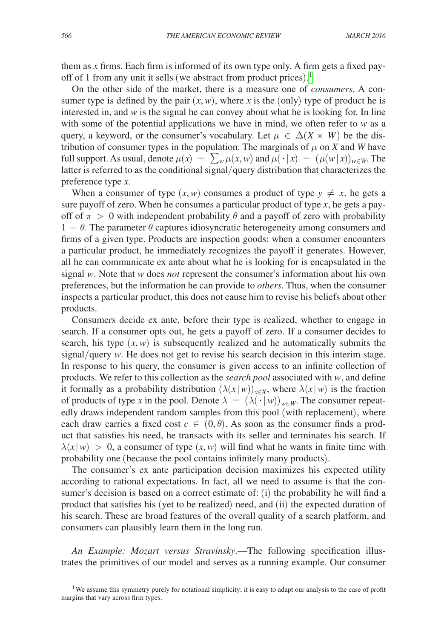them as *x* firms. Each firm is informed of its own type only. A firm gets a fixed payoff of 1 from any unit it sells (we abstract from product prices). [1](#page-3-0)

On the other side of the market, there is a measure one of *consumers*. A consumer type is defined by the pair  $(x, w)$ , where *x* is the (only) type of product he is interested in, and  $w$  is the signal he can convey about what he is looking for. In line with some of the potential applications we have in mind, we often refer to  $w$  as a query, a keyword, or the consumer's vocabulary. Let  $\mu \in \Delta(X \times W)$  be the distribution of consumer types in the population. The marginals of  $\mu$  on *X* and *W* have full support. As usual, denote  $\mu(x) = \sum_{w} \mu(x, w)$  and  $\mu(\cdot | x) = (\mu(w | x))_{w \in W}$ . The latter is referred to as the conditional signal/query distribution that characterizes the preference type *x*.

When a consumer of type  $(x, w)$  consumes a product of type  $y \neq x$ , he gets a sure payoff of zero. When he consumes a particular product of type *x*, he gets a payoff of  $\pi > 0$  with independent probability  $\theta$  and a payoff of zero with probability 1 −  $\theta$ . The parameter  $\theta$  captures idiosyncratic heterogeneity among consumers and firms of a given type. Products are inspection goods: when a consumer encounters a particular product, he immediately recognizes the payoff it generates. However, all he can communicate ex ante about what he is looking for is encapsulated in the signal *w*. Note that *w* does *not* represent the consumer's information about his own preferences, but the information he can provide to *others*. Thus, when the consumer inspects a particular product, this does not cause him to revise his beliefs about other products.

Consumers decide ex ante, before their type is realized, whether to engage in search. If a consumer opts out, he gets a payoff of zero. If a consumer decides to search, his type  $(x, w)$  is subsequently realized and he automatically submits the signal/query *w*. He does not get to revise his search decision in this interim stage. In response to his query, the consumer is given access to an infinite collection of products. We refer to this collection as the *search pool* associated with *w*, and define it formally as a probability distribution  $(\lambda(x|w))_{x\in X}$ , where  $\lambda(x|w)$  is the fraction of products of type *x* in the pool. Denote  $\lambda = (\lambda(\cdot|w))_{w \in W}$ . The consumer repeatedly draws independent random samples from this pool (with replacement), where each draw carries a fixed cost  $c \in (0, \theta)$ . As soon as the consumer finds a product that satisfies his need, he transacts with its seller and terminates his search. If  $\lambda(x|w) > 0$ , a consumer of type  $(x, w)$  will find what he wants in finite time with probability one (because the pool contains infinitely many products).

The consumer's ex ante participation decision maximizes his expected utility according to rational expectations. In fact, all we need to assume is that the consumer's decision is based on a correct estimate of: (i) the probability he will find a product that satisfies his (yet to be realized) need, and (ii) the expected duration of his search. These are broad features of the overall quality of a search platform, and consumers can plausibly learn them in the long run.

*An Example: Mozart versus Stravinsky*.—The following specification illustrates the primitives of our model and serves as a running example. Our consumer

<span id="page-3-0"></span><sup>&</sup>lt;sup>1</sup>We assume this symmetry purely for notational simplicity; it is easy to adapt our analysis to the case of profit margins that vary across firm types.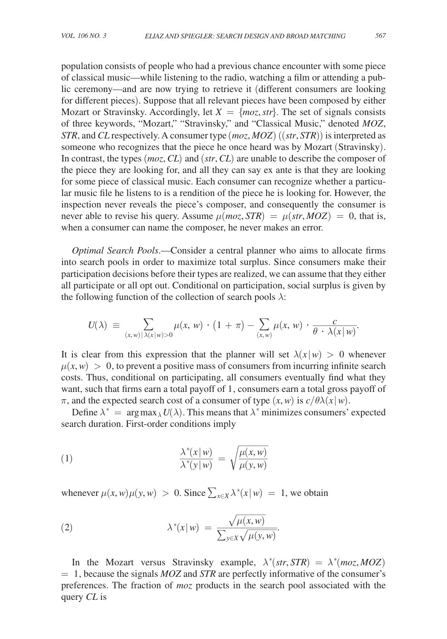population consists of people who had a previous chance encounter with some piece of classical music—while listening to the radio, watching a film or attending a public ceremony—and are now trying to retrieve it (different consumers are looking for different pieces). Suppose that all relevant pieces have been composed by either Mozart or Stravinsky. Accordingly, let  $X = \{moz, str\}$ . The set of signals consists of three keywords, "Mozart," "Stravinsky," and "Classical Music," denoted *MOZ*, *STR*, and *CL* respectively. A consumer type (*moz*, *MOZ* ) ((*str*, *STR*)) is interpreted as someone who recognizes that the piece he once heard was by Mozart (Stravinsky). In contrast, the types (*moz*, *CL*) and (*str*, *CL*) are unable to describe the composer of the piece they are looking for, and all they can say ex ante is that they are looking for some piece of classical music. Each consumer can recognize whether a particular music file he listens to is a rendition of the piece he is looking for. However, the inspection never reveals the piece's composer, and consequently the consumer is never able to revise his query. Assume  $\mu(moz, STR) = \mu(str, MOZ) = 0$ , that is, when a consumer can name the composer, he never makes an error.

*Optimal Search Pools*.—Consider a central planner who aims to allocate firms into search pools in order to maximize total surplus. Since consumers make their participation decisions before their types are realized, we can assume that they either all participate or all opt out. Conditional on participation, social surplus is given by<br>
the following function of the collection of search pools  $\lambda$ :<br>  $U(\lambda) = \sum_{(x,w) | \lambda(x|w) > 0} \mu(x, w) \cdot (1 + \pi) - \sum_{(x,w)} \mu(x, w) \cdot \frac{c}{\theta \cdot \lambda(x|$ the following function of the collection of search pools  $\lambda$ :

$$
U(\lambda) \equiv \sum_{(x,w) \mid \lambda(x|w) > 0} \mu(x,w) \cdot (1+\pi) - \sum_{(x,w)} \mu(x,w) \cdot \frac{c}{\theta \cdot \lambda(x|w)}.
$$

It is clear from this expression that the planner will set  $\lambda(x|w) > 0$  whenever  $\mu(x, w) > 0$ , to prevent a positive mass of consumers from incurring infinite search costs. Thus, conditional on participating, all consumers eventually find what they want, such that firms earn a total payoff of 1, consumers earn a total gross payoff of  $\pi$ , and the expected search cost of a consumer of type  $(x, w)$  is  $c/\theta\lambda(x|w)$ .

Define  $\lambda^* = \arg \max_{\lambda} U(\lambda)$ . This means that  $\lambda^*$  minimizes consumers' expected search duration. First-order conditions imply

Search duration. First-order conditions imply

\n
$$
\frac{\lambda^*(x|w)}{\lambda^*(y|w)} = \sqrt{\frac{\mu(x, w)}{\mu(y, w)}}
$$

whenever 
$$
\mu(x, w)\mu(y, w) > 0
$$
. Since  $\sum_{x \in X} \lambda^*(x|w) = 1$ , we obtain  
\n(2) 
$$
\lambda^*(x|w) = \frac{\sqrt{\mu(x, w)}}{\sum_{y \in X} \sqrt{\mu(y, w)}}.
$$

In the Mozart versus Stravinsky example,  $\lambda^*(str, STR) = \lambda^*(moz, MOZ)$ = 1, because the signals *MOZ* and *STR* are perfectly informative of the consumer's preferences. The fraction of *moz* products in the search pool associated with the query *CL* is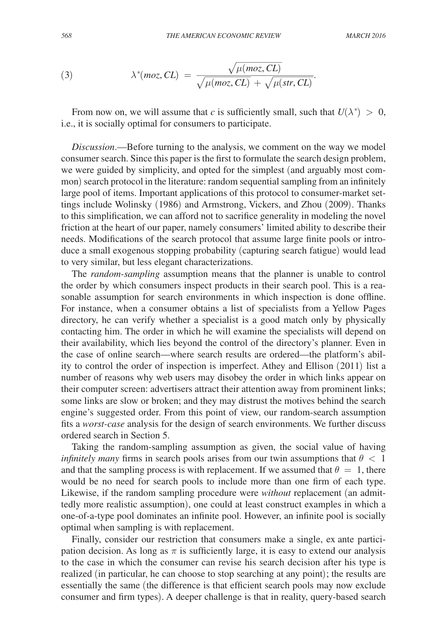(3) *THE AMERICAN ECONOMIC REVIEW*  
\n
$$
\lambda^*(moz, CL) = \frac{\sqrt{\mu(moz, CL)}}{\sqrt{\mu(moz, CL)} + \sqrt{\mu(str, CL)}}.
$$

From now on, we will assume that *c* is sufficiently small, such that  $U(\lambda^*) > 0$ , i.e., it is socially optimal for consumers to participate.

*Discussion*.—Before turning to the analysis, we comment on the way we model consumer search. Since this paper is the first to formulate the search design problem, we were guided by simplicity, and opted for the simplest (and arguably most common) search protocol in the literature: random sequential sampling from an infinitely large pool of items. Important applications of this protocol to consumer-market settings include Wolinsky (1986) and Armstrong, Vickers, and Zhou (2009). Thanks to this simplification, we can afford not to sacrifice generality in modeling the novel friction at the heart of our paper, namely consumers' limited ability to describe their needs. Modifications of the search protocol that assume large finite pools or introduce a small exogenous stopping probability (capturing search fatigue) would lead to very similar, but less elegant characterizations.

The *random-sampling* assumption means that the planner is unable to control the order by which consumers inspect products in their search pool. This is a reasonable assumption for search environments in which inspection is done offline. For instance, when a consumer obtains a list of specialists from a Yellow Pages directory, he can verify whether a specialist is a good match only by physically contacting him. The order in which he will examine the specialists will depend on their availability, which lies beyond the control of the directory's planner. Even in the case of online search—where search results are ordered—the platform's ability to control the order of inspection is imperfect. Athey and Ellison (2011) list a number of reasons why web users may disobey the order in which links appear on their computer screen: advertisers attract their attention away from prominent links; some links are slow or broken; and they may distrust the motives behind the search engine's suggested order. From this point of view, our random-search assumption fits a *worst-case* analysis for the design of search environments. We further discuss ordered search in Section 5.

Taking the random-sampling assumption as given, the social value of having *infinitely many* firms in search pools arises from our twin assumptions that  $\theta < 1$ and that the sampling process is with replacement. If we assumed that  $\theta = 1$ , there would be no need for search pools to include more than one firm of each type. Likewise, if the random sampling procedure were *without* replacement (an admittedly more realistic assumption), one could at least construct examples in which a one-of-a-type pool dominates an infinite pool. However, an infinite pool is socially optimal when sampling is with replacement.

Finally, consider our restriction that consumers make a single, ex ante participation decision. As long as  $\pi$  is sufficiently large, it is easy to extend our analysis to the case in which the consumer can revise his search decision after his type is realized (in particular, he can choose to stop searching at any point); the results are essentially the same (the difference is that efficient search pools may now exclude consumer and firm types). A deeper challenge is that in reality, query-based search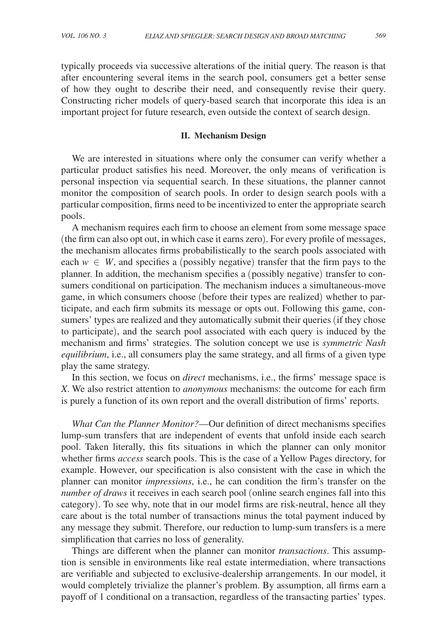typically proceeds via successive alterations of the initial query. The reason is that after encountering several items in the search pool, consumers get a better sense of how they ought to describe their need, and consequently revise their query. Constructing richer models of query-based search that incorporate this idea is an important project for future research, even outside the context of search design.

#### **II. Mechanism Design**

We are interested in situations where only the consumer can verify whether a particular product satisfies his need. Moreover, the only means of verification is personal inspection via sequential search. In these situations, the planner cannot monitor the composition of search pools. In order to design search pools with a particular composition, firms need to be incentivized to enter the appropriate search pools.

A mechanism requires each firm to choose an element from some message space (the firm can also opt out, in which case it earns zero). For every profile of messages, the mechanism allocates firms probabilistically to the search pools associated with each  $w \in W$ , and specifies a (possibly negative) transfer that the firm pays to the planner. In addition, the mechanism specifies a (possibly negative) transfer to consumers conditional on participation. The mechanism induces a simultaneous-move game, in which consumers choose (before their types are realized) whether to participate, and each firm submits its message or opts out. Following this game, consumers' types are realized and they automatically submit their queries (if they chose to participate), and the search pool associated with each query is induced by the mechanism and firms' strategies. The solution concept we use is *symmetric Nash equilibrium*, i.e., all consumers play the same strategy, and all firms of a given type play the same strategy.

In this section, we focus on *direct* mechanisms, i.e., the firms' message space is *X*. We also restrict attention to *anonymous* mechanisms: the outcome for each firm is purely a function of its own report and the overall distribution of firms' reports.

*What Can the Planner Monitor?*—Our definition of direct mechanisms specifies lump-sum transfers that are independent of events that unfold inside each search pool. Taken literally, this fits situations in which the planner can only monitor whether firms *access* search pools. This is the case of a Yellow Pages directory, for example. However, our specification is also consistent with the case in which the planner can monitor *impressions*, i.e., he can condition the firm's transfer on the *number of draws* it receives in each search pool (online search engines fall into this category). To see why, note that in our model firms are risk-neutral, hence all they care about is the total number of transactions minus the total payment induced by any message they submit. Therefore, our reduction to lump-sum transfers is a mere simplification that carries no loss of generality.

Things are different when the planner can monitor *transactions*. This assumption is sensible in environments like real estate intermediation, where transactions are verifiable and subjected to exclusive-dealership arrangements. In our model, it would completely trivialize the planner's problem. By assumption, all firms earn a payoff of 1 conditional on a transaction, regardless of the transacting parties' types.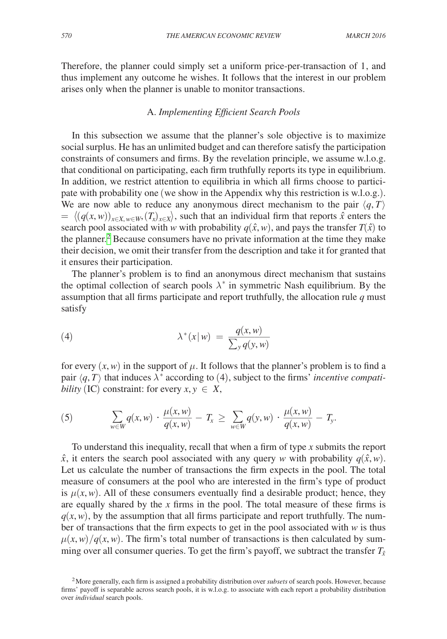Therefore, the planner could simply set a uniform price-per-transaction of 1, and thus implement any outcome he wishes. It follows that the interest in our problem arises only when the planner is unable to monitor transactions.

## A. *Implementing Efficient Search Pools*

In this subsection we assume that the planner's sole objective is to maximize social surplus. He has an unlimited budget and can therefore satisfy the participation constraints of consumers and firms. By the revelation principle, we assume w.l.o.g. that conditional on participating, each firm truthfully reports its type in equilibrium. In addition, we restrict attention to equilibria in which all firms choose to participate with probability one (we show in the Appendix why this restriction is w.l.o.g.). We are now able to reduce any anonymous direct mechanism to the pair  $\langle q, T \rangle$  $= \langle (q(x, w))_{x \in X, w \in W}, (T_x)_{x \in X} \rangle$ , such that an individual firm that reports  $\hat{x}$  enters the  $= \langle (q(x, w))_{x \in X, w \in W}, (T_x)_{x \in X} \rangle$ , such that an individual firm that reports  $\hat{x}$  enters the search pool associated with *w* with probability  $q(\hat{x}, w)$ , and pays the transfer  $T(\hat{x})$  to the planner.<sup>2</sup> Because consumers have no private information at the time they make their decision, we omit their transfer from the description and take it for granted that it ensures their participation.

The planner's problem is to find an anonymous direct mechanism that sustains the optimal collection of search pools  $\lambda^*$  in symmetric Nash equilibrium. By the assumption that all firms participate and report truthfully, the allocation rule *q* must satisfy

(4) 
$$
\lambda^*(x|w) = \frac{q(x,w)}{\sum_{y} q(y,w)}
$$

for every  $(x, w)$  in the support of  $\mu$ . It follows that the planner's problem is to find a pair  $\langle q, T \rangle$  that induces  $\lambda^*$  according to (4), subject to the firms' *incentive compati*-

*bility* (IC) constraint: for every 
$$
x, y \in X
$$
,  
\n(5) 
$$
\sum_{w \in W} q(x, w) \cdot \frac{\mu(x, w)}{q(x, w)} - T_x \ge \sum_{w \in W} q(y, w) \cdot \frac{\mu(x, w)}{q(x, w)} - T_y.
$$

To understand this inequality, recall that when a firm of type *x* submits the report  $\hat{x}$ , it enters the search pool associated with any query *w* with probability  $q(\hat{x}, w)$ . Let us calculate the number of transactions the firm expects in the pool. The total measure of consumers at the pool who are interested in the firm's type of product is  $\mu(x, w)$ . All of these consumers eventually find a desirable product; hence, they are equally shared by the *x* firms in the pool. The total measure of these firms is  $q(x, w)$ , by the assumption that all firms participate and report truthfully. The number of transactions that the firm expects to get in the pool associated with  $w$  is thus  $\mu(x, w) / q(x, w)$ . The firm's total number of transactions is then calculated by summing over all consumer queries. To get the firm's payoff, we subtract the transfer  $T_{\hat{x}}$ 

<span id="page-7-0"></span><sup>2</sup>More generally, each firm is assigned a probability distribution over *subsets* of search pools. However, because firms' payoff is separable across search pools, it is w.l.o.g. to associate with each report a probability distribution over *individual* search pools.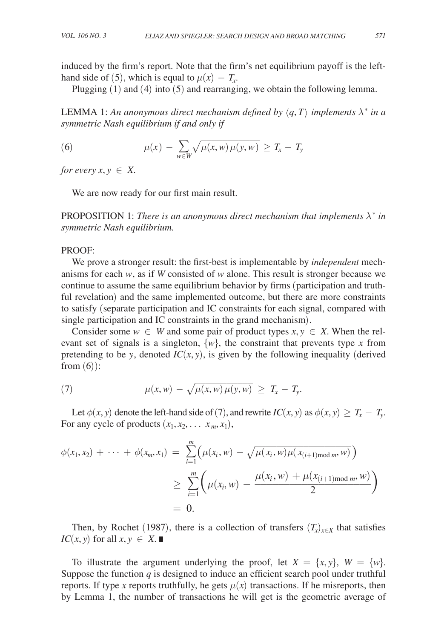induced by the firm's report. Note that the firm's net equilibrium payoff is the lefthand side of (5), which is equal to  $\mu(x) - T_x$ .

Plugging (1) and (4) into (5) and rearranging, we obtain the following lemma.

LEMMA 1: An anonymous direct mechanism defined by  $\langle q, T \rangle$  implements  $\lambda^*$  in a *symmetric Nash equilibrium if and only if*

\n
$$
\text{symmetric Nash equilibrium if and only if}
$$
\n

\n\n
$$
\mu(x) - \sum_{w \in W} \sqrt{\mu(x, w) \mu(y, w)} \geq T_x - T_y
$$
\n

*for every x, y*  $\in$  *X*.

We are now ready for our first main result.

PROPOSITION 1: *There is an anonymous direct mechanism that implements*  $\lambda^*$  *in symmetric Nash equilibrium.*

# PROOF:

We prove a stronger result: the first-best is implementable by *independent* mechanisms for each *w*, as if *W* consisted of *w* alone. This result is stronger because we continue to assume the same equilibrium behavior by firms (participation and truthful revelation) and the same implemented outcome, but there are more constraints to satisfy (separate participation and IC constraints for each signal, compared with single participation and IC constraints in the grand mechanism).

Consider some  $w \in W$  and some pair of product types  $x, y \in X$ . When the relevant set of signals is a singleton,  $\{w\}$ , the constraint that prevents type *x* from pretending to be *y*, denoted  $IC(x, y)$ , is given by the following inequality (derived from  $(6)$ :

(7) 
$$
\mu(x, w) - \sqrt{\mu(x, w) \mu(y, w)} \geq T_x - T_y.
$$

Let  $\phi(x, y)$  denote the left-hand side of (7), and rewrite *IC*(*x*, *y*) as  $\phi(x, y) \geq T_x - T_y$ . For any cycle of products  $(x_1, x_2, \ldots, x_m, x_1)$ ,

$$
\phi(x_1, x_2) + \dots + \phi(x_m, x_1) = \sum_{i=1}^m \Big( \mu(x_i, w) - \sqrt{\mu(x_i, w)\mu(x_{(i+1) \text{mod } m}, w)} \Big)
$$
  

$$
\geq \sum_{i=1}^m \Big( \mu(x_i, w) - \frac{\mu(x_i, w) + \mu(x_{(i+1) \text{mod } m}, w)}{2} \Big)
$$
  
= 0.

Then, by Rochet (1987), there is a collection of transfers  $(T_x)_{x \in X}$  that satisfies *IC*(*x*, *y*) for all *x*, *y* ∈ *X*. ■

To illustrate the argument underlying the proof, let  $X = \{x, y\}$ ,  $W = \{w\}$ . Suppose the function  $q$  is designed to induce an efficient search pool under truthful reports. If type *x* reports truthfully, he gets  $\mu(x)$  transactions. If he misreports, then by Lemma 1, the number of transactions he will get is the geometric average of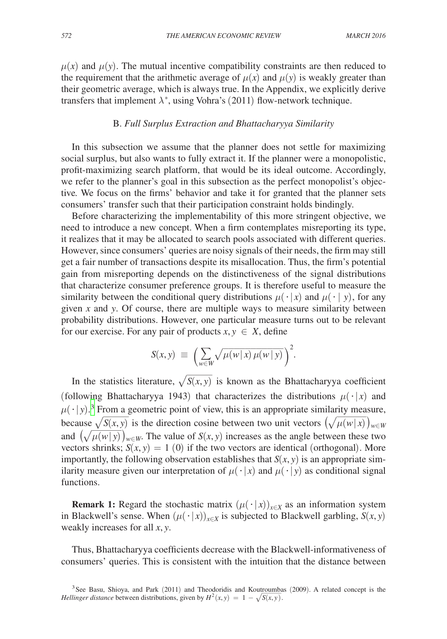$\mu(x)$  and  $\mu(y)$ . The mutual incentive compatibility constraints are then reduced to the requirement that the arithmetic average of  $\mu(x)$  and  $\mu(y)$  is weakly greater than their geometric average, which is always true. In the Appendix, we explicitly derive transfers that implement  $\lambda^*$ , using Vohra's (2011) flow-network technique.

# B. *Full Surplus Extraction and Bhattacharyya Similarity*

In this subsection we assume that the planner does not settle for maximizing social surplus, but also wants to fully extract it. If the planner were a monopolistic, profit-maximizing search platform, that would be its ideal outcome. Accordingly, we refer to the planner's goal in this subsection as the perfect monopolist's objective*.* We focus on the firms' behavior and take it for granted that the planner sets consumers' transfer such that their participation constraint holds bindingly.

Before characterizing the implementability of this more stringent objective, we need to introduce a new concept. When a firm contemplates misreporting its type, it realizes that it may be allocated to search pools associated with different queries. However, since consumers' queries are noisy signals of their needs, the firm may still get a fair number of transactions despite its misallocation. Thus, the firm's potential gain from misreporting depends on the distinctiveness of the signal distributions that characterize consumer preference groups. It is therefore useful to measure the similarity between the conditional query distributions  $\mu(\cdot | x)$  and  $\mu(\cdot | y)$ , for any given *x* and *y*. Of course, there are multiple ways to measure similarity between probability distributions. However, one particular measure turns out to be relevant

for our exercise. For any pair of products 
$$
x, y \in X
$$
, define  

$$
S(x, y) \equiv \left(\sum_{w \in W} \sqrt{\mu(w|x)\mu(w|y)}\right)^2.
$$

 $S(x, y) \equiv \left(\sum_{w \in W} \sqrt{\mu(w|x) \mu(w|y)}\right)^2$ .<br>In the statistics literature,  $\sqrt{S(x, y)}$  is known as the Bhattacharyya coefficient (following Bhattacharyya 1943) that characterizes the distributions  $\mu(\cdot|x)$  and  $\mu(\cdot|y)$ <sup>3</sup>. From a geometric point of view, this is an appropriate similarity measure, because  $\sqrt{S(x, y)}$  is the direction cosine between two unit vectors  $(\sqrt{\mu(w|x)})_{w \in W}$ Bhattacharyya 1943) that characterizes the distributions  $\mu(\cdot|x)$ <br>rom a geometric point of view, this is an appropriate similarity mea<br> $\overline{S(x, y)}$  is the direction cosine between two unit vectors  $(\sqrt{\mu(w|x)})$ and  $(\sqrt{\mu(w|y)})_{w \in W}$ . The value of *S*(*x*, *y*) increases as the angle between these two <sup>3</sup> From<br> $\frac{\sqrt{S(x, \cdot)}}{\mu(w|y)}$ <br>shrinks vectors shrinks;  $S(x, y) = 1$  (0) if the two vectors are identical (orthogonal). More importantly, the following observation establishes that  $S(x, y)$  is an appropriate similarity measure given our interpretation of  $\mu(\cdot|x)$  and  $\mu(\cdot|y)$  as conditional signal functions.

**Remark 1:** Regard the stochastic matrix  $(\mu(\cdot|x))_{x\in X}$  as an information system in Blackwell's sense. When  $(\mu(\cdot|x))_{x\in X}$  is subjected to Blackwell garbling,  $S(x, y)$ weakly increases for all *x*, *y*.

Thus, Bhattacharyya coefficients decrease with the Blackwell-informativeness of consumers' queries. This is consistent with the intuition that the distance between

<span id="page-9-0"></span><sup>&</sup>lt;sup>3</sup>See Basu, Shioya, and Park (2011) and Theodoridis and Koutroumbas (2009). A related concept is the *Hellinger distance* between distributions, given by  $H^2(x, y) = 1 - \sqrt{S(x, y)}$ .  $\frac{\text{roundb}}{S(x, y)}$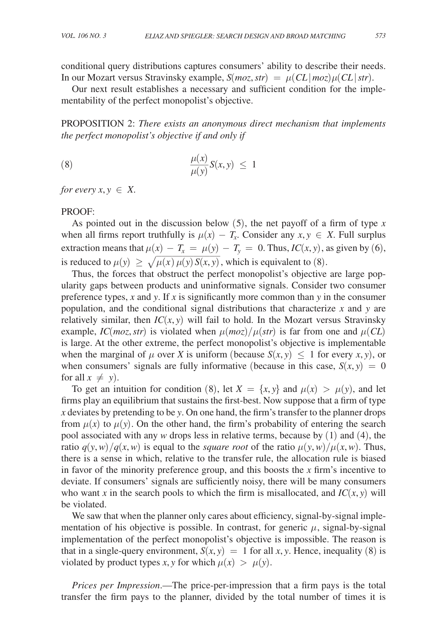conditional query distributions captures consumers' ability to describe their needs. In our Mozart versus Stravinsky example,  $S(moz, str) = \mu (CL | moz) \mu (CL | str)$ .

Our next result establishes a necessary and sufficient condition for the implementability of the perfect monopolist's objective.

Proposition 2: *There exists an anonymous direct mechanism that implements the perfect monopolist's objective if and only if*

(8) 
$$
\frac{\mu(x)}{\mu(y)}S(x, y) \leq 1
$$

*for every*  $x, y \in X$ .

## PROOF:

As pointed out in the discussion below (5), the net payoff of a firm of type *x* when all firms report truthfully is  $\mu(x) - T_x$ . Consider any  $x, y \in X$ . Full surplus extraction means that  $\mu(x) - T_x = \mu(y) - T_y = 0$ . Thus,  $IC(x, y)$ , as given by (6), is reduced to  $\mu(y) \ge \sqrt{\mu(x) \mu(y) S(x, y)}$  $\mu(x) = T_x = \mu(y) - T_y = 0$ . Thus,  $IC(x, y)$ ,  $\mu(x) \mu(y) S(x, y)$ , which is equivalent to (8).<br>obstruct the perfect monopolist's objective

Thus, the forces that obstruct the perfect monopolist's objective are large popularity gaps between products and uninformative signals. Consider two consumer preference types, *x* and *y*. If *x* is significantly more common than *y* in the consumer population, and the conditional signal distributions that characterize *x* and *y* are relatively similar, then  $IC(x, y)$  will fail to hold. In the Mozart versus Stravinsky example, *IC*(*moz*, *str*) is violated when  $\mu (moz)/\mu (str)$  is far from one and  $\mu (CL)$ is large. At the other extreme, the perfect monopolist's objective is implementable when the marginal of  $\mu$  over *X* is uniform (because  $S(x, y) \leq 1$  for every *x*, *y*), or when consumers' signals are fully informative (because in this case,  $S(x, y) = 0$ for all  $x \neq y$ ).

To get an intuition for condition (8), let  $X = \{x, y\}$  and  $\mu(x) > \mu(y)$ , and let firms play an equilibrium that sustains the first-best. Now suppose that a firm of type *x* deviates by pretending to be *y*. On one hand, the firm's transfer to the planner drops from  $\mu(x)$  to  $\mu(y)$ . On the other hand, the firm's probability of entering the search pool associated with any *w* drops less in relative terms, because by (1) and (4), the ratio  $q(y, w)/q(x, w)$  is equal to the *square root* of the ratio  $\mu(y, w)/\mu(x, w)$ . Thus, there is a sense in which, relative to the transfer rule, the allocation rule is biased in favor of the minority preference group, and this boosts the  $x$  firm's incentive to deviate. If consumers' signals are sufficiently noisy, there will be many consumers who want *x* in the search pools to which the firm is misallocated, and  $IC(x, y)$  will be violated.

We saw that when the planner only cares about efficiency, signal-by-signal implementation of his objective is possible. In contrast, for generic  $\mu$ , signal-by-signal implementation of the perfect monopolist's objective is impossible. The reason is that in a single-query environment,  $S(x, y) = 1$  for all x, y. Hence, inequality (8) is violated by product types *x*, *y* for which  $\mu(x) > \mu(y)$ .

*Prices per Impression*.—The price-per-impression that a firm pays is the total transfer the firm pays to the planner, divided by the total number of times it is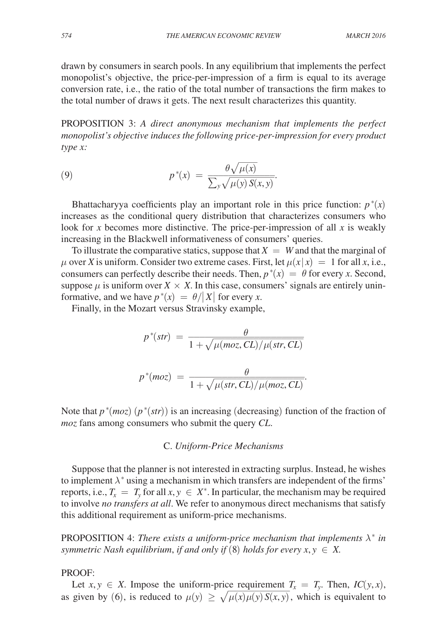drawn by consumers in search pools. In any equilibrium that implements the perfect monopolist's objective, the price-per-impression of a firm is equal to its average conversion rate, i.e., the ratio of the total number of transactions the firm makes to the total number of draws it gets. The next result characterizes this quantity.

Proposition 3: *A direct anonymous mechanism that implements the perfect monopolist's objective induces the following price-per-impression for every product*<br>
type x:<br>
(9)  $p^*(x) = \frac{\theta \sqrt{\mu(x)}}{\sum_y \sqrt{\mu(y) S(x, y)}}.$ <br>
Bhattacharyya coefficients play an important role in this price function:  $p^*(x)$ *type x:*

$$
type x:
$$
\n
$$
p^*(x) = \frac{\theta \sqrt{\mu(x)}}{\sum_{y} \sqrt{\mu(y) S(x, y)}}.
$$

Bhattacharyya coefficients play an important role in this price function:  $p^*(x)$ increases as the conditional query distribution that characterizes consumers who look for *x* becomes more distinctive. The price-per-impression of all *x* is weakly increasing in the Blackwell informativeness of consumers' queries.

To illustrate the comparative statics, suppose that  $X = W$  and that the marginal of  $\mu$  over *X* is uniform. Consider two extreme cases. First, let  $\mu(x|x) = 1$  for all *x*, i.e., consumers can perfectly describe their needs. Then,  $p^*(x) = \theta$  for every *x*. Second, suppose  $\mu$  is uniform over  $X \times X$ . In this case, consumers' signals are entirely uninformative, and we have  $p^*(x) = \theta/|X|$  for every *x*.

Finally, in the Mozart versus Stravinsky example,

Finally, in the Mozart versus Stravinsky example,  
\n
$$
p^*(str) = \frac{\theta}{1 + \sqrt{\mu(moz, CL)/\mu(str, CL)}}
$$
\n
$$
p^*(moz) = \frac{\theta}{1 + \sqrt{\mu(str, CL)/\mu(moz, CL)}}.
$$
\nNote that  $p^*(moz)$  ( $p^*(str)$ ) is an increasing (decreasing) function of the fraction of

*moz* fans among consumers who submit the query *CL*.

# C. *Uniform-Price Mechanisms*

Suppose that the planner is not interested in extracting surplus. Instead, he wishes to implement  $\lambda^*$  using a mechanism in which transfers are independent of the firms' reports, i.e.,  $T_x = T_y$  for all  $x, y \in X^*$ . In particular, the mechanism may be required to involve *no transfers at all*. We refer to anonymous direct mechanisms that satisfy this additional requirement as uniform-price mechanisms.

PROPOSITION 4: *There exists a uniform-price mechanism that implements*  $\lambda^*$  *in symmetric Nash equilibrium, if and only if* (8) *holds for every*  $x, y \in X$ .

#### PROOF:

Let  $x, y \in X$ . Impose the uniform-price requirement  $T_x = T_y$ . Then,  $IC(y, x)$ , as given by (6), is reduced to  $\mu(y) \ge \sqrt{2}$ e requirement  $T_x = T_y$ . Then,  $IC(y, x)$ ,  $\mu(x)\mu(y)S(x, y)$ , which is equivalent to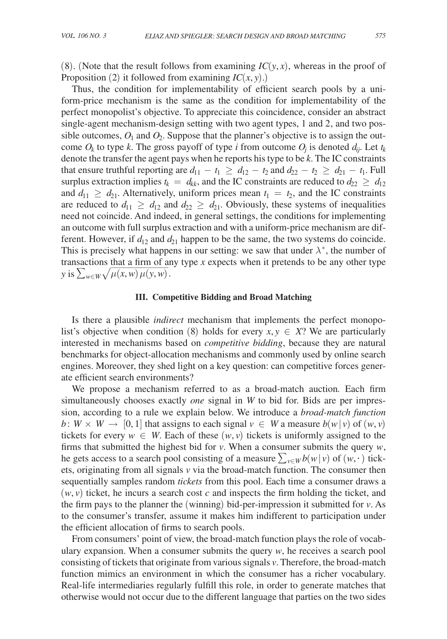(8). (Note that the result follows from examining  $IC(y, x)$ , whereas in the proof of Proposition (2) it followed from examining  $IC(x, y)$ .)

Thus, the condition for implementability of efficient search pools by a uniform-price mechanism is the same as the condition for implementability of the perfect monopolist's objective. To appreciate this coincidence, consider an abstract single-agent mechanism-design setting with two agent types, 1 and 2, and two possible outcomes,  $O_1$  and  $O_2$ . Suppose that the planner's objective is to assign the outcome  $O_k$  to type k. The gross payoff of type *i* from outcome  $O_j$  is denoted  $d_{ij}$ . Let  $t_k$ denote the transfer the agent pays when he reports his type to be *k*. The IC constraints that ensure truthful reporting are  $d_{11} - t_1 \ge d_{12} - t_2$  and  $d_{22} - t_2 \ge d_{21} - t_1$ . Full surplus extraction implies  $t_k = d_{kk}$ , and the IC constraints are reduced to  $d_{22} \geq d_{12}$ and  $d_{11} \geq d_{21}$ . Alternatively, uniform prices mean  $t_1 = t_2$ , and the IC constraints are reduced to  $d_{11} \geq d_{12}$  and  $d_{22} \geq d_{21}$ . Obviously, these systems of inequalities need not coincide. And indeed, in general settings, the conditions for implementing an outcome with full surplus extraction and with a uniform-price mechanism are different. However, if  $d_{12}$  and  $d_{21}$  happen to be the same, the two systems do coincide. This is precisely what happens in our setting: we saw that under  $\lambda^*$ , the number of transactions that a firm of any type *x* expects when it pretends to be any other type *y* is  $\sum_{w \in W} \sqrt{\mu(x, w) \mu(y, w)}$ .  $\frac{1}{2}$  that a firm of any that a firm of any the  $\mu(x, w)$   $\mu(y, w)$ .

#### **III. Competitive Bidding and Broad Matching**

Is there a plausible *indirect* mechanism that implements the perfect monopolist's objective when condition (8) holds for every  $x, y \in X$ ? We are particularly interested in mechanisms based on *competitive bidding*, because they are natural benchmarks for object-allocation mechanisms and commonly used by online search engines. Moreover, they shed light on a key question: can competitive forces generate efficient search environments?

We propose a mechanism referred to as a broad-match auction*.* Each firm simultaneously chooses exactly *one* signal in *W* to bid for. Bids are per impression, according to a rule we explain below. We introduce a *broad-match function b*:  $W \times W \rightarrow [0, 1]$  that assigns to each signal  $v \in W$  a measure  $b(w|v)$  of  $(w, v)$ tickets for every  $w \in W$ . Each of these  $(w, v)$  tickets is uniformly assigned to the firms that submitted the highest bid for *v*. When a consumer submits the query *w*, he gets access to a search pool consisting of a measure  $\sum_{v \in W} b(w | v)$  of  $(w, \cdot)$  tickets, originating from all signals *v* via the broad-match function. The consumer then sequentially samples random *tickets* from this pool. Each time a consumer draws a  $(w, v)$  ticket, he incurs a search cost  $c$  and inspects the firm holding the ticket, and the firm pays to the planner the (winning) bid-per-impression it submitted for *v*. As to the consumer's transfer, assume it makes him indifferent to participation under the efficient allocation of firms to search pools.

From consumers' point of view, the broad-match function plays the role of vocabulary expansion. When a consumer submits the query *w*, he receives a search pool consisting of tickets that originate from various signals *v*. Therefore, the broad-match function mimics an environment in which the consumer has a richer vocabulary. Real-life intermediaries regularly fulfill this role, in order to generate matches that otherwise would not occur due to the different language that parties on the two sides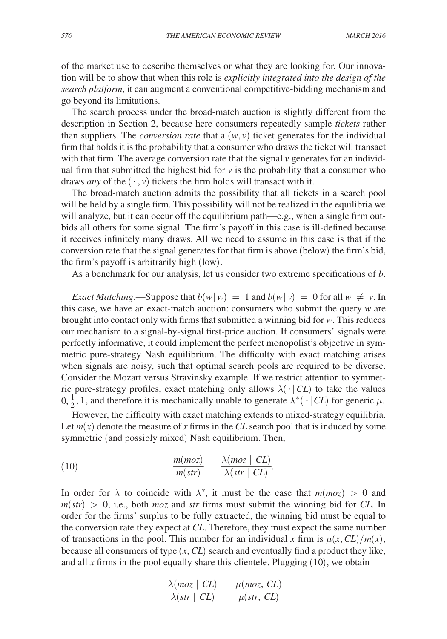of the market use to describe themselves or what they are looking for. Our innovation will be to show that when this role is *explicitly integrated into the design of the search platform*, it can augment a conventional competitive-bidding mechanism and go beyond its limitations.

The search process under the broad-match auction is slightly different from the description in Section 2, because here consumers repeatedly sample *tickets* rather than suppliers. The *conversion rate* that a  $(w, v)$  ticket generates for the individual firm that holds it is the probability that a consumer who draws the ticket will transact with that firm. The average conversion rate that the signal *v* generates for an individual firm that submitted the highest bid for  $\nu$  is the probability that a consumer who draws *any* of the  $(\cdot, v)$  tickets the firm holds will transact with it.

The broad-match auction admits the possibility that all tickets in a search pool will be held by a single firm. This possibility will not be realized in the equilibria we will analyze, but it can occur off the equilibrium path—e.g., when a single firm outbids all others for some signal. The firm's payoff in this case is ill-defined because it receives infinitely many draws. All we need to assume in this case is that if the conversion rate that the signal generates for that firm is above (below) the firm's bid, the firm's payoff is arbitrarily high (low).

As a benchmark for our analysis, let us consider two extreme specifications of *b*.

*Exact Matching*.—Suppose that  $b(w|w) = 1$  and  $b(w|v) = 0$  for all  $w \neq v$ . In this case, we have an exact-match auction: consumers who submit the query *w* are brought into contact only with firms that submitted a winning bid for *w*. This reduces our mechanism to a signal-by-signal first-price auction. If consumers' signals were perfectly informative, it could implement the perfect monopolist's objective in symmetric pure-strategy Nash equilibrium. The difficulty with exact matching arises when signals are noisy, such that optimal search pools are required to be diverse. Consider the Mozart versus Stravinsky example. If we restrict attention to symmetric pure-strategy profiles, exact matching only allows  $\lambda(\cdot|CL)$  to take the values  $0, \frac{1}{2}$ , 1, and therefore it is mechanically unable to generate  $\lambda^* (\cdot | CL)$  for generic  $\mu$ .

However, the difficulty with exact matching extends to mixed-strategy equilibria. Let *m*(*x*) denote the measure of *x* firms in the *CL* search pool that is induced by some *m* exact matching extends<br>of *x* firms in the *CL* search<br>ed) Nash equilibrium. Th<br> $\frac{n(moz)}{m(str)} = \frac{\lambda(moz \mid CL)}{\lambda(str \mid CL)}$ <br>with  $\lambda^*$ , it must be the

symmetric (and possibly mixed) Nash equilibrium. Then,  
\n(10)  
\n
$$
\frac{m(moz)}{m(str)} = \frac{\lambda(moz \mid CL)}{\lambda(str \mid CL)}.
$$

In order for  $\lambda$  to coincide with  $\lambda^*$ , it must be the case that  $m(moz) > 0$  and  $m(str) > 0$ , i.e., both *moz* and *str* firms must submit the winning bid for *CL*. In order for the firms' surplus to be fully extracted, the winning bid must be equal to the conversion rate they expect at *CL*. Therefore, they must expect the same number of transactions in the pool. This number for an individual *x* firm is  $\mu(x, CL)/m(x)$ , because all consumers of type (*x*, *CL*) search and eventually find a product they like, and all  $x$  firms in the pool equally share this clientele. Plugging  $(10)$ , we obtain because all consumers of type  $(x, CL)$  search and eventual<br>and all x firms in the pool equally share this clientele. Plu<br>and all x firms in the pool equally share this clientele. Plu<br> $\frac{\lambda(moz | CL)}{\lambda(str | CL)} = \frac{\mu(moz, CL)}{\mu(str, CL)}$ 

$$
\frac{\lambda(moz \mid CL)}{\lambda(str \mid CL)} = \frac{\mu(moz, CL)}{\mu(str, CL)}
$$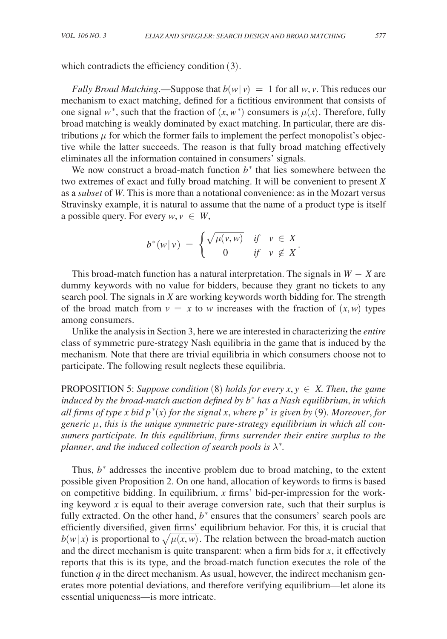which contradicts the efficiency condition  $(3)$ .

*Fully Broad Matching*.—Suppose that  $b(w|v) = 1$  for all *w*, *v*. This reduces our mechanism to exact matching, defined for a fictitious environment that consists of one signal  $w^*$ , such that the fraction of  $(x, w^*)$  consumers is  $\mu(x)$ . Therefore, fully broad matching is weakly dominated by exact matching. In particular, there are distributions  $\mu$  for which the former fails to implement the perfect monopolist's objective while the latter succeeds. The reason is that fully broad matching effectively eliminates all the information contained in consumers' signals.

We now construct a broad-match function  $b^*$  that lies somewhere between the two extremes of exact and fully broad matching. It will be convenient to present *X* as a *subset* of *W*. This is more than a notational convenience: as in the Mozart versus Stravinsky example, it is natural to assume that the name of a product type is itself<br>
a possible query. For every  $w, v \in W$ ,<br>  $b^*(w|v) = \begin{cases} \sqrt{\mu(v,w)} & \text{if } v \in X \\ 0 & \text{if } v \in X \end{cases}$ a possible query. For every  $w, v \in W$ ,

a possible query. For every 
$$
w, v \in W
$$
,  

$$
b^*(w|v) = \begin{cases} \sqrt{\mu(v,w)} & \text{if } v \in X \\ 0 & \text{if } v \notin X \end{cases}.
$$

This broad-match function has a natural interpretation. The signals in *W* − *X* are dummy keywords with no value for bidders, because they grant no tickets to any search pool. The signals in *X* are working keywords worth bidding for. The strength of the broad match from  $v = x$  to *w* increases with the fraction of  $(x, w)$  types among consumers.

Unlike the analysis in Section 3, here we are interested in characterizing the *entire* class of symmetric pure-strategy Nash equilibria in the game that is induced by the mechanism. Note that there are trivial equilibria in which consumers choose not to participate. The following result neglects these equilibria.

**PROPOSITION 5:** Suppose condition (8) holds for every  $x, y \in X$ . Then, the game *induced by the broad-match auction defined by b*<sup>∗</sup>  *has a Nash equilibrium*, *in which all firms of type x bid p*<sup>∗</sup> (*x*) *for the signal x*, *where p*<sup>∗</sup>  *is given by* (9)*. Moreover*, *for generic* μ, *this is the unique symmetric pure-strategy equilibrium in which all consumers participate. In this equilibrium*, *firms surrender their entire surplus to the planner, and the induced collection of search pools is*  $\lambda^*$ .

Thus,  $b^*$  addresses the incentive problem due to broad matching, to the extent possible given Proposition 2. On one hand, allocation of keywords to firms is based on competitive bidding. In equilibrium, *x* firms' bid-per-impression for the working keyword *x* is equal to their average conversion rate, such that their surplus is fully extracted. On the other hand,  $b^*$  ensures that the consumers' search pools are efficiently diversified, given firms' equilibrium behavior. For this, it is crucial that  $b(w|x)$  is proportional to  $\sqrt{\mu(x, w)}$ . The relation between the broad-match auction meir ave<br>
r hand,<br>  $\frac{\text{firms'}}{\mu(x, w)}$ and the direct mechanism is quite transparent: when a firm bids for  $x$ , it effectively reports that this is its type, and the broad-match function executes the role of the function  $q$  in the direct mechanism. As usual, however, the indirect mechanism generates more potential deviations, and therefore verifying equilibrium—let alone its essential uniqueness—is more intricate.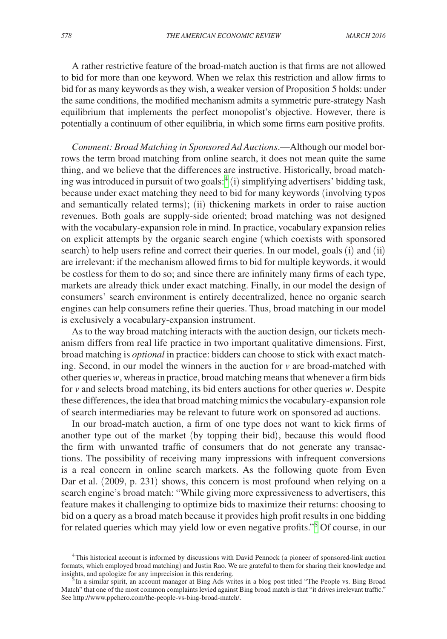A rather restrictive feature of the broad-match auction is that firms are not allowed to bid for more than one keyword. When we relax this restriction and allow firms to bid for as many keywords as they wish, a weaker version of Proposition 5 holds: under the same conditions, the modified mechanism admits a symmetric pure-strategy Nash equilibrium that implements the perfect monopolist's objective. However, there is potentially a continuum of other equilibria, in which some firms earn positive profits.

*Comment: Broad Matching in Sponsored Ad Auctions*.—Although our model borrows the term broad matching from online search, it does not mean quite the same thing, and we believe that the differences are instructive. Historically, broad matching was introduced in pursuit of two goals: $(4)$  $(4)$  $(4)$  simplifying advertisers' bidding task, because under exact matching they need to bid for many keywords (involving typos and semantically related terms); (ii) thickening markets in order to raise auction revenues. Both goals are supply-side oriented; broad matching was not designed with the vocabulary-expansion role in mind. In practice, vocabulary expansion relies on explicit attempts by the organic search engine (which coexists with sponsored search) to help users refine and correct their queries. In our model, goals (i) and (ii) are irrelevant: if the mechanism allowed firms to bid for multiple keywords, it would be costless for them to do so; and since there are infinitely many firms of each type, markets are already thick under exact matching. Finally, in our model the design of consumers' search environment is entirely decentralized, hence no organic search engines can help consumers refine their queries. Thus, broad matching in our model is exclusively a vocabulary-expansion instrument.

As to the way broad matching interacts with the auction design, our tickets mechanism differs from real life practice in two important qualitative dimensions. First, broad matching is *optional* in practice: bidders can choose to stick with exact matching. Second, in our model the winners in the auction for *v* are broad-matched with other queries *w*, whereas in practice, broad matching means that whenever a firm bids for *v* and selects broad matching, its bid enters auctions for other queries *w*. Despite these differences, the idea that broad matching mimics the vocabulary-expansion role of search intermediaries may be relevant to future work on sponsored ad auctions.

In our broad-match auction, a firm of one type does not want to kick firms of another type out of the market (by topping their bid), because this would flood the firm with unwanted traffic of consumers that do not generate any transactions. The possibility of receiving many impressions with infrequent conversions is a real concern in online search markets. As the following quote from Even Dar et al. (2009, p. 231) shows, this concern is most profound when relying on a search engine's broad match: "While giving more expressiveness to advertisers, this feature makes it challenging to optimize bids to maximize their returns: choosing to bid on a query as a broad match because it provides high profit results in one bidding for related queries which may yield low or even negative profits."<sup>[5](#page-15-1)</sup> Of course, in our

<span id="page-15-0"></span><sup>4</sup>This historical account is informed by discussions with David Pennock (a pioneer of sponsored-link auction formats, which employed broad matching) and Justin Rao. We are grateful to them for sharing their knowledge and insights, and apologize for any imprecision in this rendering.

<span id="page-15-1"></span> $5$ In a similar spirit, an account manager at Bing Ads writes in a blog post titled "The People vs. Bing Broad Match" that one of the most common complaints levied against Bing broad match is that "it drives irrelevant traffic." See http://www.ppchero.com/the-people-vs-bing-broad-match/.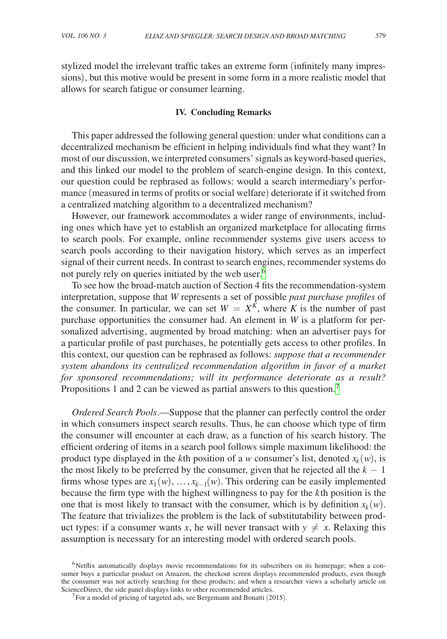stylized model the irrelevant traffic takes an extreme form (infinitely many impressions), but this motive would be present in some form in a more realistic model that allows for search fatigue or consumer learning.

#### **IV. Concluding Remarks**

This paper addressed the following general question: under what conditions can a decentralized mechanism be efficient in helping individuals find what they want? In most of our discussion, we interpreted consumers' signals as keyword-based queries, and this linked our model to the problem of search-engine design. In this context, our question could be rephrased as follows: would a search intermediary's performance (measured in terms of profits or social welfare) deteriorate if it switched from a centralized matching algorithm to a decentralized mechanism?

However, our framework accommodates a wider range of environments, including ones which have yet to establish an organized marketplace for allocating firms to search pools. For example, online recommender systems give users access to search pools according to their navigation history, which serves as an imperfect signal of their current needs. In contrast to search engines, recommender systems do not purely rely on queries initiated by the web user.<sup>[6](#page-16-0)</sup>

To see how the broad-match auction of Section 4 fits the recommendation-system interpretation, suppose that *W* represents a set of possible *past purchase profiles* of the consumer. In particular, we can set  $W = X^{\tilde{K}}$ , where *K* is the number of past purchase opportunities the consumer had. An element in *W* is a platform for personalized advertising, augmented by broad matching: when an advertiser pays for a particular profile of past purchases, he potentially gets access to other profiles. In this context, our question can be rephrased as follows: *suppose that a recommender system abandons its centralized recommendation algorithm in favor of a market for sponsored recommendations; will its performance deteriorate as a result?* Propositions 1 and 2 can be viewed as partial answers to this question.<sup>7</sup>

*Ordered Search Pools*.—Suppose that the planner can perfectly control the order in which consumers inspect search results. Thus, he can choose which type of firm the consumer will encounter at each draw, as a function of his search history. The efficient ordering of items in a search pool follows simple maximum likelihood: the product type displayed in the *k*th position of a *w* consumer's list, denoted  $x_k(w)$ , is the most likely to be preferred by the consumer, given that he rejected all the  $k - 1$ firms whose types are  $x_1(w), \ldots, x_{k-1}(w)$ . This ordering can be easily implemented because the firm type with the highest willingness to pay for the *k* th position is the one that is most likely to transact with the consumer, which is by definition  $x_k(w)$ . The feature that trivializes the problem is the lack of substitutability between product types: if a consumer wants *x*, he will never transact with  $y \neq x$ . Relaxing this assumption is necessary for an interesting model with ordered search pools.

<span id="page-16-0"></span><sup>&</sup>lt;sup>6</sup>Netflix automatically displays movie recommendations for its subscribers on its homepage; when a consumer buys a particular product on Amazon, the checkout screen displays recommended products, even though the consumer was not actively searching for these products; and when a researcher views a scholarly article on ScienceDirect, the side panel displays links to other recommended articles.<br><sup>7</sup>For a model of pricing of targeted ads, see Bergemann and Bonatti (2015).

<span id="page-16-1"></span>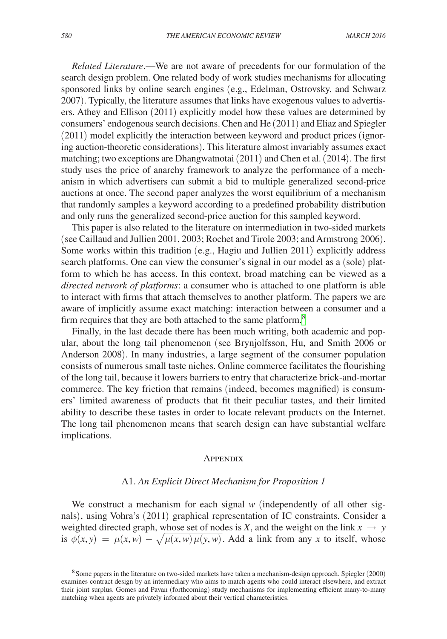*Related Literature*.—We are not aware of precedents for our formulation of the search design problem. One related body of work studies mechanisms for allocating sponsored links by online search engines (e.g., Edelman, Ostrovsky, and Schwarz 2007). Typically, the literature assumes that links have exogenous values to advertisers. Athey and Ellison (2011) explicitly model how these values are determined by consumers' endogenous search decisions. Chen and He (2011) and Eliaz and Spiegler (2011) model explicitly the interaction between keyword and product prices (ignoring auction-theoretic considerations). This literature almost invariably assumes exact matching; two exceptions are Dhangwatnotai (2011) and Chen et al. (2014). The first study uses the price of anarchy framework to analyze the performance of a mechanism in which advertisers can submit a bid to multiple generalized second-price auctions at once. The second paper analyzes the worst equilibrium of a mechanism that randomly samples a keyword according to a predefined probability distribution and only runs the generalized second-price auction for this sampled keyword.

This paper is also related to the literature on intermediation in two-sided markets (see Caillaud and Jullien 2001, 2003; Rochet and Tirole 2003; and Armstrong 2006). Some works within this tradition (e.g., Hagiu and Jullien 2011) explicitly address search platforms. One can view the consumer's signal in our model as a (sole) platform to which he has access. In this context, broad matching can be viewed as a *directed network of platforms*: a consumer who is attached to one platform is able to interact with firms that attach themselves to another platform. The papers we are aware of implicitly assume exact matching: interaction between a consumer and a firm requires that they are both attached to the same platform.<sup>8</sup>

Finally, in the last decade there has been much writing, both academic and popular, about the long tail phenomenon (see Brynjolfsson, Hu, and Smith 2006 or Anderson 2008). In many industries, a large segment of the consumer population consists of numerous small taste niches. Online commerce facilitates the flourishing of the long tail, because it lowers barriers to entry that characterize brick-and-mortar commerce. The key friction that remains (indeed, becomes magnified) is consumers' limited awareness of products that fit their peculiar tastes, and their limited ability to describe these tastes in order to locate relevant products on the Internet. The long tail phenomenon means that search design can have substantial welfare implications.

#### **APPENDIX**

#### A1. *An Explicit Direct Mechanism for Proposition 1*

We construct a mechanism for each signal *w* (independently of all other signals), using Vohra's (2011) graphical representation of IC constraints. Consider a weighted directed graph, whose set of nodes is *X*, and the weight on the link  $x \to y$ is  $\phi(x, y) = \mu(x, w) - \sqrt{\mu(x, w) \mu(y, w)}$ . Add a link from any x to itself, whose for *y* graphical representation of **i**C constraints. Consider a *h*ose set of nodes is *X*, and the weight on the link  $x \to y$   $\mu(x, w) \mu(y, w)$ . Add a link from any *x* to itself, whose

<span id="page-17-0"></span><sup>8</sup>Some papers in the literature on two-sided markets have taken a mechanism-design approach. Spiegler (2000) examines contract design by an intermediary who aims to match agents who could interact elsewhere, and extract their joint surplus. Gomes and Pavan (forthcoming) study mechanisms for implementing efficient many-to-many matching when agents are privately informed about their vertical characteristics.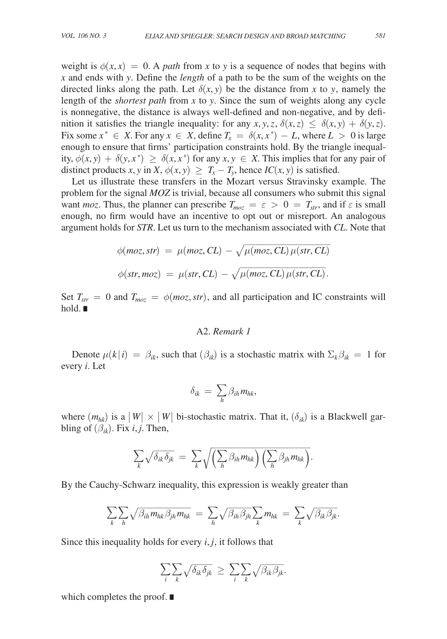weight is  $\phi(x, x) = 0$ . A *path* from x to y is a sequence of nodes that begins with *x* and ends with *y*. Define the *length* of a path to be the sum of the weights on the directed links along the path. Let  $\delta(x, y)$  be the distance from x to y, namely the length of the *shortest path* from *x* to *y*. Since the sum of weights along any cycle is nonnegative, the distance is always well-defined and non-negative, and by definition it satisfies the triangle inequality: for any *x*, *y*, *z*,  $\delta(x, z) \leq \delta(x, y) + \delta(y, z)$ . Fix some  $x^* \in X$ . For any  $x \in X$ , define  $T_x = \delta(x, x^*) - L$ , where  $L > 0$  is large enough to ensure that firms' participation constraints hold. By the triangle inequality,  $\phi(x, y) + \delta(y, x^*) \ge \delta(x, x^*)$  for any  $x, y \in X$ . This implies that for any pair of distinct products *x*, *y* in *X*,  $\phi(x, y) \geq T_x - T_y$ , hence *IC*(*x*, *y*) is satisfied.

Let us illustrate these transfers in the Mozart versus Stravinsky example. The problem for the signal *MOZ* is trivial, because all consumers who submit this signal want *moz*. Thus, the planner can prescribe  $T_{moz} = \varepsilon > 0 = T_{str}$ , and if  $\varepsilon$  is small enough, no firm would have an incentive to opt out or misreport. An analogous argument holds for *STR*. Let us turn to the mechanism associated with *CL*. Note that

enough, no firm would have an incentive to opt out or misreport. An analogous  
argument holds for *STR*. Let us turn to the mechanism associated with *CL*. Note that  

$$
\phi(moz, str) = \mu(moz, CL) - \sqrt{\mu(moz, CL)\mu(str, CL)}
$$

$$
\phi(str, moz) = \mu(str, CL) - \sqrt{\mu(moz, CL)\mu(str, CL)}.
$$
  
Set  $T_{str} = 0$  and  $T_{moz} = \phi(moz, str)$ , and all participation and IC constraints will

hold. ∎

### A2. *Remark 1*

Denote  $\mu(k|i) = \beta_{ik}$ , such that  $(\beta_{ik})$  is a stochastic matrix with  $\Sigma_k \beta_{ik} = 1$  for every *i*. Let

$$
\delta_{ik} = \sum_{h} \beta_{ih} m_{hk},
$$

where  $(m_{hk})$  is a  $|W| \times |W|$  bi-stochastic matrix. That it,  $(\delta_{ik})$  is a Blackwell garbling of  $(\beta_{ik})$ . Fix *i*, *j*. Then,

$$
\sum_{k} \sqrt{\delta_{ik} \delta_{jk}} = \sum_{k} \sqrt{\left(\sum_{h} \beta_{ih} m_{hk}\right) \left(\sum_{h} \beta_{jh} m_{hk}\right)}.
$$

$$
\sum_{k} \sqrt{\delta_{ik} \delta_{jk}} = \sum_{k} \sqrt{\left(\sum_{h} \beta_{ih} m_{hk}\right) \left(\sum_{h} \beta_{jh} m_{hk}\right)}.
$$
  
By the Cauchy-Schwarz inequality, this expression is weakly greater than  

$$
\sum_{k} \sum_{h} \sqrt{\beta_{ih} m_{hk} \beta_{jh} m_{hk}} = \sum_{h} \sqrt{\beta_{ih} \beta_{jh}} \sum_{k} m_{hk} = \sum_{k} \sqrt{\beta_{ik} \beta_{jk}}.
$$

Since this inequality holds for every *i*, *j*, it follows that

Since this inequality holds for every *i*, *j*, it follows that\n
$$
\sum_{i} \sum_{k} \sqrt{\delta_{ik} \delta_{jk}} \geq \sum_{i} \sum_{k} \sqrt{\beta_{ik} \beta_{jk}}.
$$

which completes the proof. ∎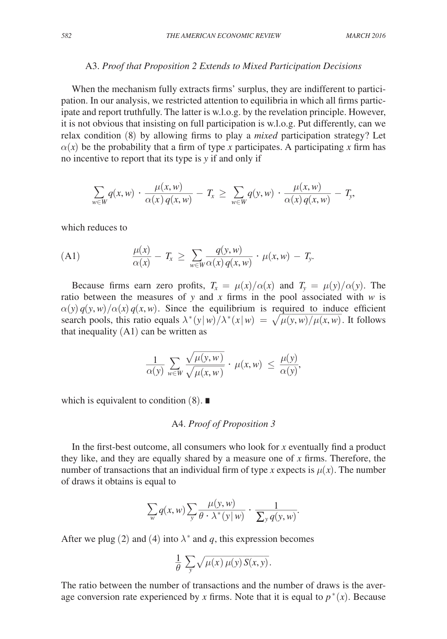#### A3. *Proof that Proposition 2 Extends to Mixed Participation Decisions*

When the mechanism fully extracts firms' surplus, they are indifferent to participation. In our analysis, we restricted attention to equilibria in which all firms participate and report truthfully. The latter is w.l.o.g. by the revelation principle. However, it is not obvious that insisting on full participation is w.l.o.g. Put differently, can we relax condition (8) by allowing firms to play a *mixed* participation strategy? Let  $\alpha(x)$  be the probability that a firm of type *x* participates. A participating *x* firm has no incentive to report that its type is *y* if and only if

$$
\alpha(x)
$$
 be the probability that a firm of type *x* participates. A participating *x* to  
no incentive to report that its type is *y* if and only if  

$$
\sum_{w \in W} q(x, w) \cdot \frac{\mu(x, w)}{\alpha(x) q(x, w)} - T_x \ge \sum_{w \in W} q(y, w) \cdot \frac{\mu(x, w)}{\alpha(x) q(x, w)} - T_y,
$$

which reduces to

which reduces to  
\n(A1) 
$$
\frac{\mu(x)}{\alpha(x)} - T_x \ge \sum_{w \in W} \frac{q(y, w)}{\alpha(x) q(x, w)} \cdot \mu(x, w) - T_y.
$$
\nBecause firms earn zero profits  $T = \mu(x)/\alpha(x)$  and  $T = \alpha(x)$ .

Because firms earn zero profits,  $T_x = \mu(x)/\alpha(x)$  and  $T_y = \mu(y)/\alpha(y)$ . The ratio between the measures of *y* and *x* firms in the pool associated with *w* is  $\alpha(y) q(y, w) / \alpha(x) q(x, w)$ . Since the equilibrium is required to induce efficient search pools, this ratio equals  $\lambda^*(y|w)/\lambda^*(x|w) = \sqrt{\lambda^*}$ pool associated with *w* is<br>quired to induce efficient<br> $\mu(y, w)/\mu(x, w)$ . It follows that inequality  $(A1)$  can be written as

$$
\frac{1}{\alpha(y)} \sum_{w \in W} \frac{\sqrt{\mu(y, w)}}{\sqrt{\mu(x, w)}} \cdot \mu(x, w) \le \frac{\mu(y, w)}{\alpha(y)},
$$
\nthat inequality (A1) can be written as

\n
$$
\frac{1}{\alpha(y)} \sum_{w \in W} \frac{\sqrt{\mu(y, w)}}{\sqrt{\mu(x, w)}} \cdot \mu(x, w) \le \frac{\mu(y)}{\alpha(y)},
$$

which is equivalent to condition  $(8)$ . ■

# A4. *Proof of Proposition 3*

In the first-best outcome, all consumers who look for *x* eventually find a product they like, and they are equally shared by a measure one of *x* firms. Therefore, the number of transactions that an individual firm of type *x* expects is  $\mu(x)$ . The number of draws it obtains is equal to<br>  $\sum_{w} q(x, w) \sum_{y} \frac{\mu(y, w)}{\theta \cdot \lambda^{*}(y|w)} \cdot \frac{1}{\sum_{y} q(y, w)}$ .<br>
After we plug (2) and (4) into  $\lambda^{*}$  an of draws it obtains is equal to

$$
\sum_{w} q(x, w) \sum_{y} \frac{\mu(y, w)}{\theta \cdot \lambda^{*}(y | w)} \cdot \frac{1}{\sum_{y} q(y, w)}.
$$

After we plug (2) and (4) into  $\lambda^*$  and *q*, this expression becomes<br>  $\frac{1}{\theta} \sum_y \sqrt{\mu(x) \mu(y) S(x, y)}$ .

$$
\frac{1}{\theta} \sum_{y} \sqrt{\mu(x) \mu(y) S(x, y)}.
$$

The ratio between the number of transactions and the number of draws is the average conversion rate experienced by *x* firms. Note that it is equal to  $p^*(x)$ . Because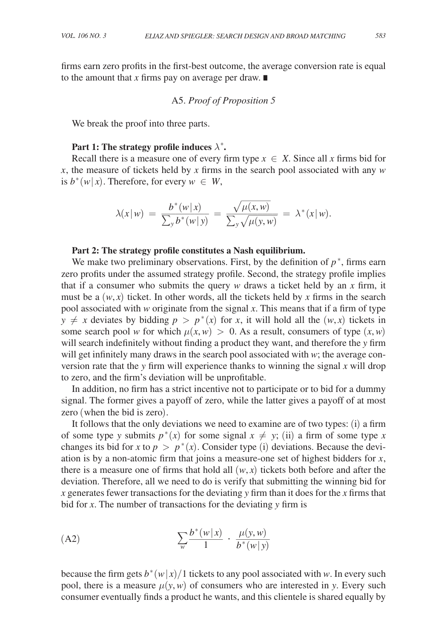firms earn zero profits in the first-best outcome, the average conversion rate is equal to the amount that *x* firms pay on average per draw. ∎

# A5. *Proof of Proposition 5*

We break the proof into three parts.

# Part 1: The strategy profile induces  $\lambda^*$ .

Recall there is a measure one of every firm type  $x \in X$ . Since all x firms bid for *x*, the measure of tickets held by *x* firms in the search pool associated with any *w* is  $b^*(w|x)$ . Therefore, for every  $w \in W$ ,

$$
\lambda(x|w) = \frac{b^*(w|x)}{\sum_y b^*(w|y)} = \frac{\sqrt{\mu(x,w)}}{\sum_y \sqrt{\mu(y,w)}} = \lambda^*(x|w).
$$

#### **Part 2: The strategy profile constitutes a Nash equilibrium.**

We make two preliminary observations. First, by the definition of  $p^*$ , firms earn zero profits under the assumed strategy profile. Second, the strategy profile implies that if a consumer who submits the query *w* draws a ticket held by an *x* firm, it must be a  $(w, x)$  ticket. In other words, all the tickets held by x firms in the search pool associated with *w* originate from the signal *x*. This means that if a firm of type  $y \neq x$  deviates by bidding  $p > p^*(x)$  for *x*, it will hold all the  $(w, x)$  tickets in some search pool *w* for which  $\mu(x, w) > 0$ . As a result, consumers of type  $(x, w)$ will search indefinitely without finding a product they want, and therefore the *y* firm will get infinitely many draws in the search pool associated with *w*; the average conversion rate that the *y* firm will experience thanks to winning the signal *x* will drop to zero, and the firm's deviation will be unprofitable.

In addition, no firm has a strict incentive not to participate or to bid for a dummy signal. The former gives a payoff of zero, while the latter gives a payoff of at most zero (when the bid is zero).

It follows that the only deviations we need to examine are of two types: (i) a firm of some type *y* submits  $p^*(x)$  for some signal  $x \neq y$ ; (ii) a firm of some type *x* changes its bid for *x* to  $p > p^*(x)$ . Consider type (i) deviations. Because the deviation is by a non-atomic firm that joins a measure-one set of highest bidders for *x*, there is a measure one of firms that hold all  $(w, x)$  tickets both before and after the deviation. Therefore, all we need to do is verify that submitting the winning bid for *x* generates fewer transactions for the deviating *y* firm than it does for the *x* firms that bid for *x*. The number of transactions for the deviating *y* firm is

(A2)  

$$
\sum_{w} \frac{b^*(w|x)}{1} \cdot \frac{\mu(y, w)}{b^*(w|y)}
$$

because the firm gets  $b^*(w|x)/1$  tickets to any pool associated with *w*. In every such pool, there is a measure  $\mu(y, w)$  of consumers who are interested in *y*. Every such consumer eventually finds a product he wants, and this clientele is shared equally by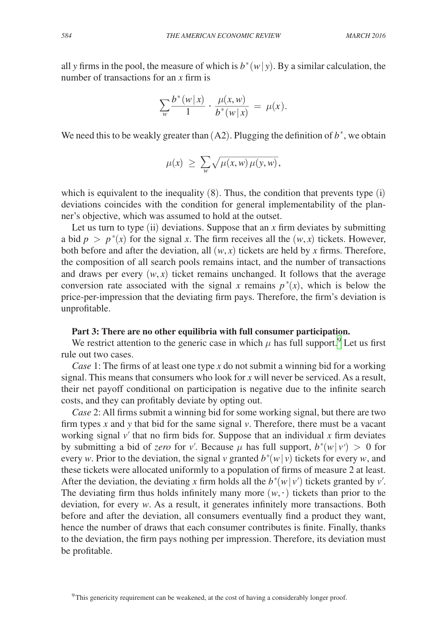all *y* firms in the pool, the measure of which is  $b^*(w|y)$ . By a similar calculation, the number of transactions for an *x* firm is<br> $\sum_{w} \frac{b^*(w|x)}{1}$ .

number of transactions for an *x* firm is  
\n
$$
\sum_{w} \frac{b^*(w|x)}{1} \cdot \frac{\mu(x, w)}{b^*(w|x)} = \mu(x).
$$

We need this to be weakly greater than  $(A2)$ . Plugging the definition of  $b^*$ , we obtain

$$
\mu(x) \geq \sum_{w} \sqrt{\mu(x, w) \mu(y, w)},
$$

which is equivalent to the inequality  $(8)$ . Thus, the condition that prevents type  $(i)$ deviations coincides with the condition for general implementability of the planner's objective, which was assumed to hold at the outset.

Let us turn to type (ii) deviations. Suppose that an *x* firm deviates by submitting a bid  $p > p^*(x)$  for the signal *x*. The firm receives all the  $(w, x)$  tickets. However, both before and after the deviation, all  $(w, x)$  tickets are held by x firms. Therefore, the composition of all search pools remains intact, and the number of transactions and draws per every  $(w, x)$  ticket remains unchanged. It follows that the average conversion rate associated with the signal *x* remains  $p^*(x)$ , which is below the price-per-impression that the deviating firm pays. Therefore, the firm's deviation is unprofitable.

# **Part 3: There are no other equilibria with full consumer participation.**

We restrict attention to the generic case in which  $\mu$  has full support.<sup>9</sup> Let us first rule out two cases.

*Case* 1: The firms of at least one type *x* do not submit a winning bid for a working signal. This means that consumers who look for *x* will never be serviced. As a result, their net payoff conditional on participation is negative due to the infinite search costs, and they can profitably deviate by opting out.

*Case* 2: All firms submit a winning bid for some working signal, but there are two firm types *x* and *y* that bid for the same signal *v*. Therefore, there must be a vacant working signal  $v'$  that no firm bids for. Suppose that an individual  $x$  firm deviates by submitting a bid of *zero* for *v'*. Because  $\mu$  has full support,  $b^*(w|v') > 0$  for every *w*. Prior to the deviation, the signal *v* granted  $b^*(w|v)$  tickets for every *w*, and these tickets were allocated uniformly to a population of firms of measure 2 at least. After the deviation, the deviating *x* firm holds all the  $b^*(w|v')$  tickets granted by *v'*. The deviating firm thus holds infinitely many more  $(w, \cdot)$  tickets than prior to the deviation, for every *w*. As a result, it generates infinitely more transactions. Both before and after the deviation, all consumers eventually find a product they want, hence the number of draws that each consumer contributes is finite. Finally, thanks to the deviation, the firm pays nothing per impression. Therefore, its deviation must be profitable.

<span id="page-21-0"></span><sup>&</sup>lt;sup>9</sup>This genericity requirement can be weakened, at the cost of having a considerably longer proof.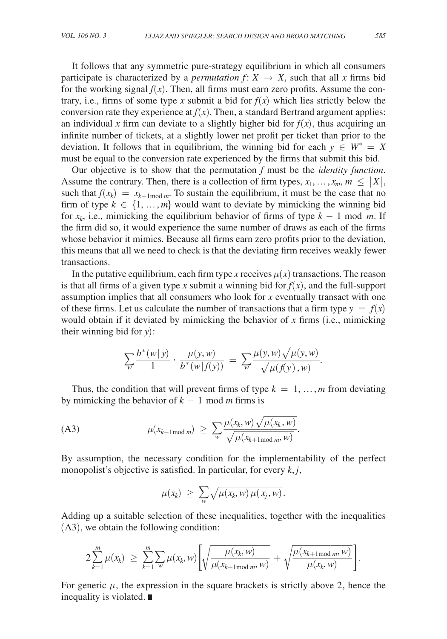It follows that any symmetric pure-strategy equilibrium in which all consumers participate is characterized by a *permutation*  $f: X \rightarrow X$ , such that all *x* firms bid for the working signal  $f(x)$ . Then, all firms must earn zero profits. Assume the contrary, i.e., firms of some type *x* submit a bid for  $f(x)$  which lies strictly below the conversion rate they experience at  $f(x)$ . Then, a standard Bertrand argument applies: an individual x firm can deviate to a slightly higher bid for  $f(x)$ , thus acquiring an infinite number of tickets, at a slightly lower net profit per ticket than prior to the deviation. It follows that in equilibrium, the winning bid for each  $y \in W^* = X$ must be equal to the conversion rate experienced by the firms that submit this bid.

Our objective is to show that the permutation *f* must be the *identity function*. Assume the contrary. Then, there is a collection of firm types,  $x_1, \ldots, x_m, m \leq |X|$ , such that  $f(x_k) = x_{k+1 \text{ mod } m}$ . To sustain the equilibrium, it must be the case that no firm of type  $k \in \{1, ..., m\}$  would want to deviate by mimicking the winning bid for  $x_k$ , i.e., mimicking the equilibrium behavior of firms of type  $k - 1$  mod *m*. If the firm did so, it would experience the same number of draws as each of the firms whose behavior it mimics. Because all firms earn zero profits prior to the deviation, this means that all we need to check is that the deviating firm receives weakly fewer transactions.

In the putative equilibrium, each firm type *x* receives  $\mu(x)$  transactions. The reason is that all firms of a given type *x* submit a winning bid for  $f(x)$ , and the full-support assumption implies that all consumers who look for *x* eventually transact with one of these firms. Let us calculate the number of transactions that a firm type  $y = f(x)$ would obtain if it deviated by mimicking the behavior of *x* firms (i.e., mimicking<br>their winning bid for *y*):<br> $\sum_{w} \frac{b^*(w|y)}{1} \cdot \frac{\mu(y, w)}{b^*(w|f(y))} = \sum_{w} \frac{\mu(y, w) \sqrt{\mu(y, w)}}{\sqrt{\mu(f(y), w)}}.$ <br>Thus the condition that will prove f their winning bid for *y*):

would obtain if it deviated by mimicking the behavior of *x* firms (i.e.  
their winning bid for *y*):  

$$
\sum_{w} \frac{b^*(w|y)}{1} \cdot \frac{\mu(y, w)}{b^*(w|f(y))} = \sum_{w} \frac{\mu(y, w)\sqrt{\mu(y, w)}}{\sqrt{\mu(f(y), w)}}.
$$
Thus the condition that will prevent firms of two  $k = 1$ , we find

Thus, the condition that will prevent firms of type  $k = 1, ..., m$  from deviating<br>mimicking the behavior of  $k - 1 \mod m$  firms is<br>3)  $\mu(x_{k-1 \mod m}) \ge \sum_{w} \frac{\mu(x_k, w) \sqrt{\mu(x_k, w)}}{\sqrt{\mu(x_k, w)}}$ . by mimicking the behavior of  $k - 1$  mod *m* firms is

by mimicking the behavior of 
$$
k - 1 \mod m
$$
 firms is  
\n(A3) 
$$
\mu(x_{k-1 \mod m}) \ge \sum_{w} \frac{\mu(x_k, w) \sqrt{\mu(x_k, w)}}{\sqrt{\mu(x_{k+1 \mod m}, w)}}.
$$

By assumption, the necessary condition for the implementability of the perfect

monopolist's objective is satisfied. In particular, for every *k*, *j*,  
\n
$$
\mu(x_k) \geq \sum_{w} \sqrt{\mu(x_k, w) \mu(x_j, w)}.
$$

Adding up a suitable selection of these inequalities, together with the inequalities (A3), we obtain the following condition:

$$
2\sum_{k=1}^{m} \mu(x_k) \geq \sum_{k=1}^{m} \sum_{w} \mu(x_k, w) \left[ \sqrt{\frac{\mu(x_k, w)}{\mu(x_{k+1 mod m}, w)}} + \sqrt{\frac{\mu(x_{k+1 mod m}, w)}{\mu(x_k, w)}} \right].
$$

For generic  $\mu$ , the expression in the square brackets is strictly above 2, hence the inequality is violated. ∎

.